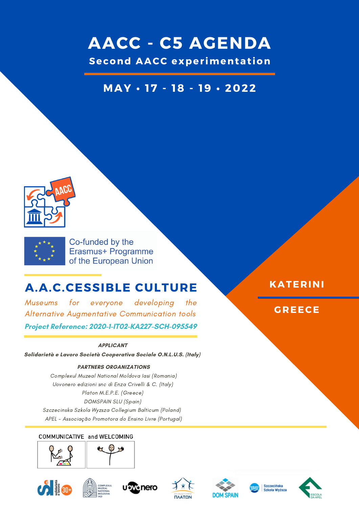# **AACC - C5 AGENDA**

**Second AACC exper imentat ion**

## **MAY • 17 - 18 - 19 • 2022**





Co-funded by the Erasmus+ Programme of the European Union

## **A.A.C.CESSIBLE CULTURE**

Museums for everyone developing the Alternative Augmentative Communication tools **Project Reference: 2020-1-IT02-KA227-SCH-095549**

### **APPLICANT**

**Solidarietà e Lavoro Società Cooperativa Sociale O.N.L.U.S. (Italy)**

### **PARTNERS ORGANIZATIONS**

Complexul Muzeal National Moldova Iasi (Romania) Uovonero edizioni snc di Enza Crivelli & C. (Italy) Platon M.E.P.E. (Greece) DOMSPAIN SLU (Spain) Szczecinska Szkola Wyzsza Collegium Balticum (Poland) APEL - Associação Promotora do Ensino Livre (Portugal)

### COMMUNICATIVE and WELCOMING



















**KATERINI**

### **GREECE**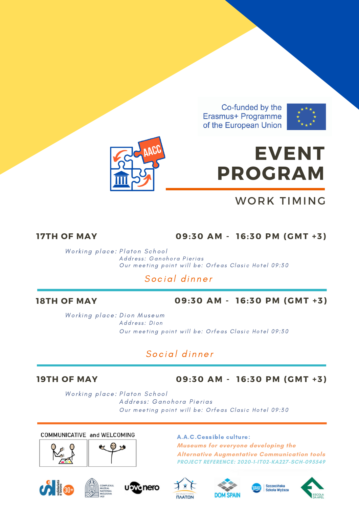Co-funded by the Erasmus+ Programme of the European Union





# **EVENT PROGRAM**

## WORK TIMING

### **17TH OF MAY 09:30 AM - 16:30 PM (GMT +3)**

Working place: Platon School Address: Ganohora Pierias Our [meeti](https://context.reverso.net/traduzione/inglese-italiano/meeting+point)ng point will be: Orfeas Clasic Hotel 09:30

## Social dinner

### **18TH OF MAY 09:30 AM - 16:30 PM (GMT +3)**

Working place: Dion Museum Address: Dion Our [meeti](https://context.reverso.net/traduzione/inglese-italiano/meeting+point)ng point will be: Orfeas Clasic Hotel 09:30

## Social dinner

### **19TH OF MAY 09:30 AM - 16:30 PM (GMT +3)**

Working place: Platon School Address: Ganohora Pierias Our [meeti](https://context.reverso.net/traduzione/inglese-italiano/meeting+point)ng point will be: Orfeas Clasic Hotel 09:30

### COMMUNICATIVE and WELCOMING





### A.A.C.Cessible culture:

**Museums for everyone developing the Alternative Augmentative Communication tools PROJECT REFERENCE: 2020-1-IT02-KA227-SCH-095549**













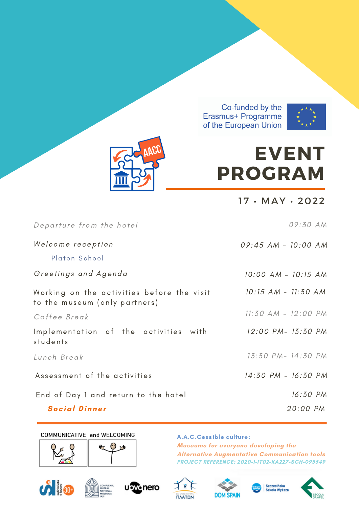Co-funded by the Erasmus+ Programme of the European Union





# **EVENT PROGRAM**

17 • MAY • 2022

| Departure from the hotel                                                    | 09:30 AM            |
|-----------------------------------------------------------------------------|---------------------|
| Welcome reception<br>Platon School                                          | 09:45 AM - 10:00 AM |
| Greetings and Agenda                                                        | 10:00 AM - 10:15 AM |
| Working on the activities before the visit<br>to the museum (only partners) | 10:15 AM - 11:30 AM |
| Coffee Break                                                                | 11:30 AM - 12:00 PM |
| Implementation of the activities with<br>students                           | 12:00 PM- 13:30 PM  |
| Lunch Break                                                                 | 13:30 PM- 14:30 PM  |
| Assessment of the activities                                                | 14:30 PM - 16:30 PM |
| End of Day 1 and return to the hotel                                        | 16:30 PM            |
| <b>Social Dinner</b>                                                        | 20:00 PM            |

### COMMUNICATIVE and WELCOMING





### A.A.C.Cessible culture:

**Museums for everyone developing the Alternative Augmentative Communication tools PROJECT REFERENCE: 2020-1-IT02-KA227-SCH-095549**













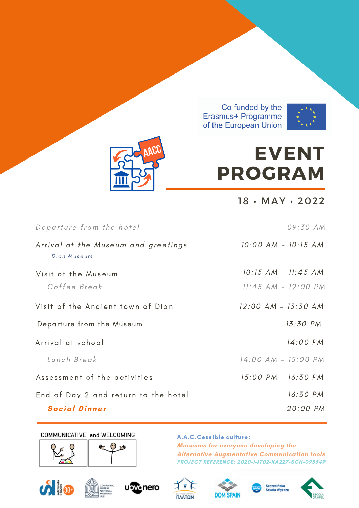





# **EVENT PROGRAM**

18 • MAY • 2022

| Departure from the hotel                           | 09:30 AM                |
|----------------------------------------------------|-------------------------|
| Arrival at the Museum and greetings<br>Dion Museum | 10:00 AM - 10:15 AM     |
| Visit of the Museum                                | 10:15 AM - 11:45 AM     |
| Coffee Break                                       | $11:45$ AM - $12:00$ PM |
| Visit of the Ancient town of Dion                  | 12:00 AM - 13:30 AM     |
| Departure from the Museum                          | 13:30 PM                |
| Arrival at school                                  | 14:00 PM                |
| Lunch Break                                        | 14:00 AM - 15:00 PM     |
| Assessment of the activities                       | 15:00 PM - 16:30 PM     |
| End of Day 2 and return to the hotel               | 16:30 PM                |
| <b>Social Dinner</b>                               | 20:00 PM                |

### COMMUNICATIVE and WELCOMING





### A.A.C.Cessible culture: **Museums for everyone developing the**

**Alternative Augmentative Communication tools PROJECT REFERENCE: 2020-1-IT02-KA227-SCH-095549**













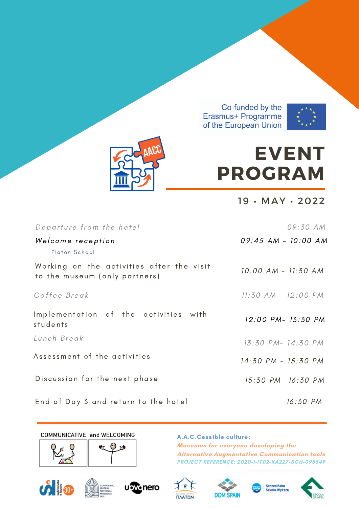Co-funded by the Erasmus+ Programme of the European Union





# **EVENT PROGRAM**

19 • MAY • 2022

| Departure from the hotel                                                   | 09:30 AM            |
|----------------------------------------------------------------------------|---------------------|
| Welcome reception<br>Platon School                                         | 09:45 AM - 10:00 AM |
| Working on the activities after the visit<br>to the museum (only partners) | 10:00 AM - 11:30 AM |
| Coffee Break                                                               | 11:30 AM - 12:00 PM |
| Implementation of the activities with<br>students                          | 12:00 PM- 13:30 PM  |
| Lunch Break                                                                | 13:30 PM- 14:30 PM  |
| Assessment of the activities                                               | 14:30 PM - 15:30 PM |
| Discussion for the next phase                                              | 15:30 PM - 16:30 PM |
| End of Day 3 and return to the hotel                                       | 16:30 PM            |

COMMUNICATIVE and WELCOMING





### A.A.C.Cessible culture: **Museums for everyone developing the Alternative Augmentative Communication tools PROJECT REFERENCE: 2020-1-IT02-KA227-SCH-095549**













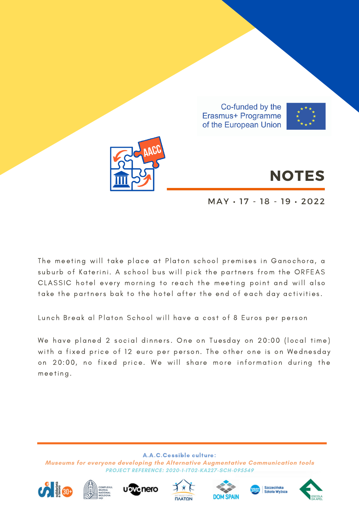



# **NOTES**

MAY • 17 - 18 - 19 • 2022

The meeting will take place at Platon school premises in Ganochora, a suburb of Katerini. A school bus will pick the partners from the ORFEAS CLASSIC hotel every morning to reach the meeting point and will also take the partners bak to the hotel after the end of each day activities.

Lunch Break al Platon School will have a cost of 8 Euros per person

We have planed 2 social dinners. One on Tuesday on 20:00 (local time) with a fixed price of 12 euro per person. The other one is on Wednesday on 20:00, no fixed price. We will share more information during the meeti ng.

A.A.C.Cessible culture: **Museums for everyone developing the Alternative Augmentative Communication tools PROJECT REFERENCE: 2020-1-IT02-KA227-SCH-095549**